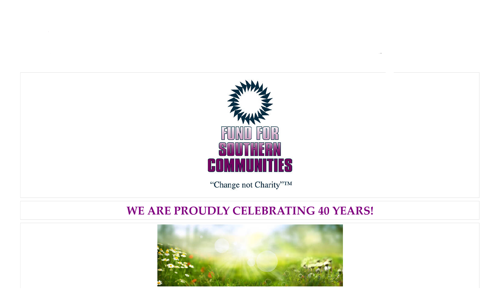

"Change not Charity"TM

# **WE ARE PROUDLY CELEBRATING 40 YEARS!**

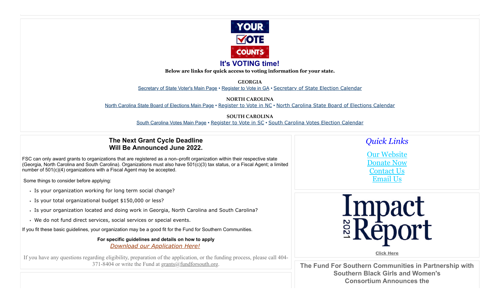

#### **It's VOTING time!**

**Below are links for quick access to voting information for your state.**

**GEORGIA** [Secretary of State Voter's Main Page](https://sos.ga.gov/elections-division-georgia-secretary-states-office) • [Register to Vote in GA](https://sos.ga.gov/how-to-guide/how-guide-registering-vote) • [Secretary of State Election Calendar](https://www.sos.ga.gov/sites/default/files/forms/2022%20State%20Scheduled%20Elections%20Short%20Calendar.pdf)

**NORTH CAROLINA**

[North Carolina State Board of Elections Main Page](https://www.ncsbe.gov/) • [Register to Vote in NC](https://www.ncsbe.gov/registering) • [North Carolina State Board of Elections Calendar](https://www.ncsbe.gov/current-sbe-events?field_event_terms_target_id=765)

**SOUTH CAROLINA** [South Carolina Votes Main Page](https://www.scvotes.gov/) • [Register to Vote in SC](https://www.scvotes.gov/south-carolina-voter-registration-information) • [South Carolina Votes Election Calendar](https://www.scvotes.gov/sites/default/files/2022%20Election%20Calendar%20(scVOTES)%202022-04-18.pdf)

#### **The Next Grant Cycle Deadline Will Be Announced June 2022.**

FSC can only award grants to organizations that are registered as a non–profit organization within their respective state (Georgia, North Carolina and South Carolina). Organizations must also have 501(c)(3) tax status, or a Fiscal Agent; a limited number of 501(c)(4) organizations with a Fiscal Agent may be accepted.

Some things to consider before applying:

- Is your organization working for long term social change?
- Is your total organizational budget \$150,000 or less?
- Is your organization located and doing work in Georgia, North Carolina and South Carolina?
- We do not fund direct services, social services or special events.

If you fit these basic guidelines, your organization may be a good fit for the Fund for Southern Communities.

#### **For specific guidelines and details on how to apply**

*[Download our Application Here!](https://www.fundforsouth.org/files_2015/GrantApplication2016.doc)*

If you have any questions regarding eligibility, preparation of the application, or the funding process, please call 404- 371-8404 or write the Fund at  $grants@fundforsouth.org.$  $grants@fundforsouth.org.$ 

# *Quick Links*

[Our Website](https://www.fundforsouth.org/) [Donate Now](https://app.etapestry.com/hosted/FundforSouthernCommunities/OnlineGiving.html) [Contact Us](http://404-371-8404/) [Email Us](mailto:fsc@fundforsouth.org)



**[Click Here](http://fundforsouth.org/annual_report_files/Annual_Report_2021.pdf)**

**The Fund For Southern Communities in Partnership with Southern Black Girls and Women's Consortium Announces the**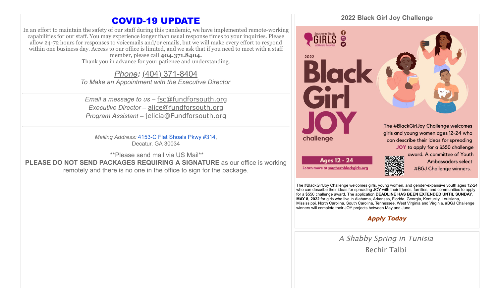# COVID-19 UPDATE

In an effort to maintain the safety of our staff during this pandemic, we have implemented remote-working capabilities for our staff. You may experience longer than usual response times to your inquiries. Please allow 24-72 hours for responses to voicemails and/or emails, but we will make every effort to respond within one business day. Access to our office is limited, and we ask that if you need to meet with a staff member, please call **404.371.8404.**

Thank you in advance for your patience and understanding.

*[Phone](https://www.google.com/search?client=safari&rls=en&biw=1440&bih=837&sxsrf=ALeKk01_ndGy0vB1SuSW19ENseRUE4ZKSg:1629823547373&q=fund+for+southern+communities+phone&ludocid=6261275828719581359&sa=X&ved=2ahUKEwi8lNnsjcryAhVUQjABHSI9DUcQ6BMwHXoECDMQAg):* [\(404\) 371-8404](https://www.google.com/search?q=fund+for+southern+communities&client=safari&rls=en&biw=1440&bih=837&sxsrf=ALeKk00ujNyvU24UrCU9ui0DDkv-avCkgw%3A1629823493643&ei=BSIlYbHIJuOGwbkP7debwAs&gs_ssp=eJzj4tZP1zcsKTLPNqsoMWC0UjWosLBIMzUwN04xsUhMS06xSLIyqDA1SzWxMDU2NEmyNEwDCnvJppXmpSik5RcpFOeXlmSkFuUpJOfn5pbmZZZkphYDAAKUGoc&oq=&gs_lcp=Cgdnd3Mtd2l6EAEYAjIHCCMQ6gIQJzIHCCMQ6gIQJzINCC4QxwEQrwEQ6gIQJzIHCCMQ6gIQJzIHCCMQ6gIQJzIHCCMQ6gIQJzINCC4QxwEQowIQ6gIQJzIHCCMQ6gIQJzIHCCMQ6gIQJzINCC4QxwEQrwEQ6gIQJ0oECEEYAFAAWABg35wDaAFwAngAgAFTiAFTkgEBMZgBAKABAbABCsABAQ&sclient=gws-wiz) *To Make an Appointment with the Executive Director*

*Email a message to us* – [fsc@fundforsouth.org](mailto:fsc@fundforsouth.org) *Executive Director* – [alice@fundforsouth.org](mailto:alice@fundforsouth.org) *Program Assistant* – [jelicia@Fundforsouth.org](mailto:jelicia@Fundforsouth.org)

*Mailing Address:* [4153-C Flat Shoals Pkwy #314](https://www.google.com/maps/search/4153-C+Flat+Shoals+Pkwy+%23314?entry=gmail&source=g), Decatur, GA 30034

\*\*Please send mail via US Mail\*\*

**PLEASE DO NOT SEND PACKAGES REQUIRING A SIGNATURE** as our office is working remotely and there is no one in the office to sign for the package.



Mississippi, North Carolina, South Carolina, Tennessee, West Virginia and Virginia. #BGJ Challenge winners will complete their JOY projects between May and June.

*[Apply Today](https://www.grantinterface.com/Home/Logon?urlkey=sbgwc)*

A Shabby Spring in Tunisia Bechir Talbi

# **2022 Black Girl Joy Challenge**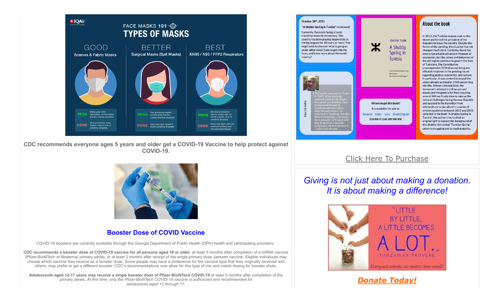

**CDC recommends everyone ages 5 years and older get a COVID-19 Vaccine to help protect against COVID-19.**



#### **Booster Dose of COVID Vaccine**

COVID-19 boosters are currently available through the Georgia Department of Public Health (DPH) health and participating providers.

**CDC recommends a booster dose of COVID-19 vaccine for all persons aged 18 or older**, at least 5 months after completion of a mRNA vaccine (Pfizer-BioNTech or Moderna) primary series, or at least 2 months after receipt of the single primary dose Janssen vaccine. Eligible individuals may choose which vaccine they receive as a booster dose. Some people may have a preference for the vaccine type that they originally received and others, may prefer to get a different booster. CDC's recommendations now allow for this type of mix and match dosing for booster shots.

**Adolescents aged 12-17 years may receive a single booster dose of Pfizer-BioNTech COVID-19** at least 5 months after completion of the primary series. *At this time, only the Pfizer-BioNTech COVID-19 vaccine is authorized and recommended for adolescents aged 12 through 17.*



In 2011, the Tunisian masses took to the street and forced the president of the Republic to leave the country. Despite the fervor of the uprising, the situation has not changed much since. Certainly, there has been a remarkable advance in freedom of expression, but the values and behaviors of the old regime continue to govern the lives of Tunisians. The Constitution promulgated in 2014 does not bring any efficient response to the pending issues regarding politics, economics, and culture. In particular, it was content to repeat the vision already outlined in 1959 concerning identity. Almost a decade later, the democratic attempt is still on ups and downs and the game is far from reaching an end. Will we finally dare to take up the cultural challenges facing the new Republic and succeed in the transition from ethnoculture to pluralism? In a series of articles published between 2012 and 2018, collected in the book "A Shabby Spring in Tunisia", the author tries to shed an original light to explain the background of this shabby-chic styled "Tunisian Spring", which is struggling yet to reach maturity.

## [Click Here To Purchase](https://www.amazon.fr/Shabby-Spring-Tunisia-Democracy-Challenges-ebook/dp/B09KBCLXMG/ref=sr_1_1?__mk_fr_FR=%C3%85M%C3%85%C5%BD%C3%95%C3%91&dchild=1&keywords=les+livres+de+Mohamed+b%C3%A9chir+talbi&qid=1635867267&sr=8-1)

*Giving is not just about making a donation. It is about making a difference!*



*[Donate Today!](https://app.etapestry.com/hosted/FundforSouthernCommunities/OnlineGiving.html)*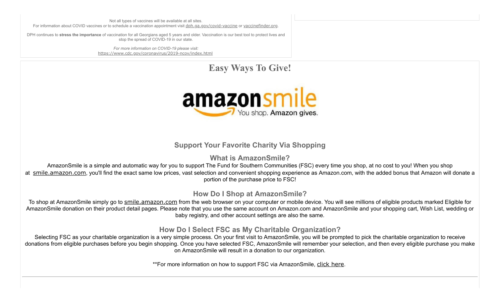Not all types of vaccines will be available at all sites. For information about COVID vaccines or to schedule a vaccination appointment visit [dph.ga.gov/covid-vaccine](https://dph.georgia.gov/covid-vaccine) or [vaccinefinder.org](https://www.vaccines.gov/).

DPH continues to **stress the importance** of vaccination for all Georgians aged 5 years and older. Vaccination is our best tool to protect lives and stop the spread of COVID-19 in our state.

> *For more information on COVID-19 please visit:* <https://www.cdc.gov/coronavirus/2019-ncov/index.html>

> > **Easy Ways To Give!**



# **Support Your Favorite Charity Via Shopping**

**What is AmazonSmile?**

AmazonSmile is a simple and automatic way for you to support The Fund for Southern Communities (FSC) every time you shop, at no cost to you! When you shop at [smile.amazon.com](http://smile.amazon.com/), you'll find the exact same low prices, vast selection and convenient shopping experience as Amazon.com, with the added bonus that Amazon will donate a portion of the purchase price to FSC!

### **How Do I Shop at AmazonSmile?**

To shop at AmazonSmile simply go to [smile.amazon.com](http://smile.amazon.com/) from the web browser on your computer or mobile device. You will see millions of eligible products marked Eligible for AmazonSmile donation on their product detail pages. Please note that you use the same account on Amazon.com and AmazonSmile and your shopping cart, Wish List, wedding or baby registry, and other account settings are also the same.

### **How Do I Select FSC as My Charitable Organization?**

Selecting FSC as your charitable organization is a very simple process. On your first visit to AmazonSmile, you will be prompted to pick the charitable organization to receive donations from eligible purchases before you begin shopping. Once you have selected FSC, AmazonSmile will remember your selection, and then every eligible purchase you make on AmazonSmile will result in a donation to our organization.

\*\*For more information on how to support FSC via AmazonSmile, [click here](http://smile.amazon.com/about/ref=smi_ge_rl_lm_raas).